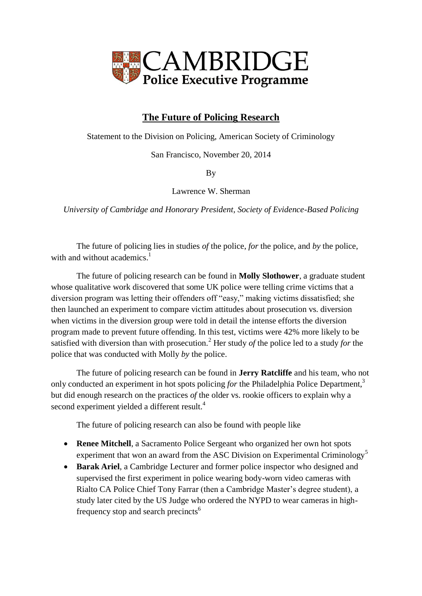

## **The Future of Policing Research**

Statement to the Division on Policing, American Society of Criminology

San Francisco, November 20, 2014

By

Lawrence W. Sherman

*University of Cambridge and Honorary President, Society of Evidence-Based Policing*

The future of policing lies in studies *of* the police, *for* the police, and *by* the police, with and without academics.<sup>1</sup>

The future of policing research can be found in **Molly Slothower**, a graduate student whose qualitative work discovered that some UK police were telling crime victims that a diversion program was letting their offenders off "easy," making victims dissatisfied; she then launched an experiment to compare victim attitudes about prosecution vs. diversion when victims in the diversion group were told in detail the intense efforts the diversion program made to prevent future offending. In this test, victims were 42% more likely to be satisfied with diversion than with prosecution.<sup>2</sup> Her study *of* the police led to a study *for* the police that was conducted with Molly *by* the police.

The future of policing research can be found in **Jerry Ratcliffe** and his team, who not only conducted an experiment in hot spots policing *for* the Philadelphia Police Department,<sup>3</sup> but did enough research on the practices *of* the older vs. rookie officers to explain why a second experiment yielded a different result.<sup>4</sup>

The future of policing research can also be found with people like

- **Renee Mitchell**, a Sacramento Police Sergeant who organized her own hot spots experiment that won an award from the ASC Division on Experimental Criminology<sup>5</sup>
- **Barak Ariel**, a Cambridge Lecturer and former police inspector who designed and supervised the first experiment in police wearing body-worn video cameras with Rialto CA Police Chief Tony Farrar (then a Cambridge Master's degree student), a study later cited by the US Judge who ordered the NYPD to wear cameras in highfrequency stop and search precincts<sup>6</sup>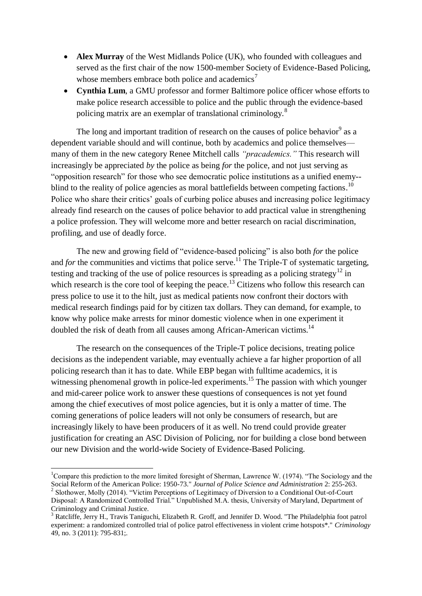- **Alex Murray** of the West Midlands Police (UK), who founded with colleagues and served as the first chair of the now 1500-member Society of Evidence-Based Policing, whose members embrace both police and academics<sup>7</sup>
- **Cynthia Lum**, a GMU professor and former Baltimore police officer whose efforts to make police research accessible to police and the public through the evidence-based policing matrix are an exemplar of translational criminology.<sup>8</sup>

The long and important tradition of research on the causes of police behavior<sup>9</sup> as a dependent variable should and will continue, both by academics and police themselves many of them in the new category Renee Mitchell calls *"pracademics."* This research will increasingly be appreciated *by* the police as being *for* the police, and not just serving as "opposition research" for those who see democratic police institutions as a unified enemy- blind to the reality of police agencies as moral battlefields between competing factions.<sup>10</sup> Police who share their critics' goals of curbing police abuses and increasing police legitimacy already find research on the causes of police behavior to add practical value in strengthening a police profession. They will welcome more and better research on racial discrimination, profiling, and use of deadly force.

The new and growing field of "evidence-based policing" is also both *for* the police and *for* the communities and victims that police serve.<sup>11</sup> The Triple-T of systematic targeting, testing and tracking of the use of police resources is spreading as a policing strategy<sup>12</sup> in which research is the core tool of keeping the peace.<sup>13</sup> Citizens who follow this research can press police to use it to the hilt, just as medical patients now confront their doctors with medical research findings paid for by citizen tax dollars. They can demand, for example, to know why police make arrests for minor domestic violence when in one experiment it doubled the risk of death from all causes among African-American victims.<sup>14</sup>

The research on the consequences of the Triple-T police decisions, treating police decisions as the independent variable, may eventually achieve a far higher proportion of all policing research than it has to date. While EBP began with fulltime academics, it is witnessing phenomenal growth in police-led experiments.<sup>15</sup> The passion with which younger and mid-career police work to answer these questions of consequences is not yet found among the chief executives of most police agencies, but it is only a matter of time. The coming generations of police leaders will not only be consumers of research, but are increasingly likely to have been producers of it as well. No trend could provide greater justification for creating an ASC Division of Policing, nor for building a close bond between our new Division and the world-wide Society of Evidence-Based Policing.

1

<sup>&</sup>lt;sup>1</sup>Compare this prediction to the more limited foresight of Sherman, Lawrence W. (1974). "The Sociology and the Social Reform of the American Police: 1950-73." *Journal of Police Science and Administration* 2: 255-263. <sup>2</sup> Slothower, Molly (2014). "Victim Perceptions of Legitimacy of Diversion to a Conditional Out-of-Court Disposal: A Randomized Controlled Trial." Unpublished M.A. thesis, University of Maryland, Department of

Criminology and Criminal Justice.

<sup>&</sup>lt;sup>3</sup> Ratcliffe, Jerry H., Travis Taniguchi, Elizabeth R. Groff, and Jennifer D. Wood. "The Philadelphia foot patrol experiment: a randomized controlled trial of police patrol effectiveness in violent crime hotspots\*." *Criminology* 49, no. 3 (2011): 795-831;.